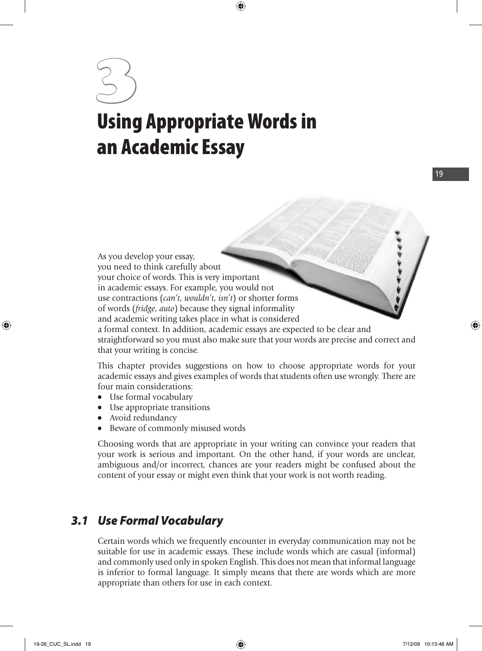# 3 **Using Appropriate Words in an Academic Essay**

 As you develop your essay, you need to think carefully about your choice of words. This is very important in academic essays. For example, you would not use contractions (*can't*, *wouldn't*, *isn't*) or shorter forms of words (*fridge*, *auto*) because they signal informality and academic writing takes place in what is considered a formal context. In addition, academic essays are expected to be clear and straightforward so you must also make sure that your words are precise and correct and that your writing is concise.

 This chapter provides suggestions on how to choose appropriate words for your academic essays and gives examples of words that students often use wrongly. There are four main considerations:

- Use formal vocabulary
- Use appropriate transitions
- Avoid redundancy
- Beware of commonly misused words

 Choosing words that are appropriate in your writing can convince your readers that your work is serious and important. On the other hand, if your words are unclear, ambiguous and/or incorrect, chances are your readers might be confused about the content of your essay or might even think that your work is not worth reading.

#### *3.1 Use Formal Vocabulary*

 Certain words which we frequently encounter in everyday communication may not be suitable for use in academic essays. These include words which are casual (informal) and commonly used only in spoken English. This does not mean that informal language is inferior to formal language. It simply means that there are words which are more appropriate than others for use in each context.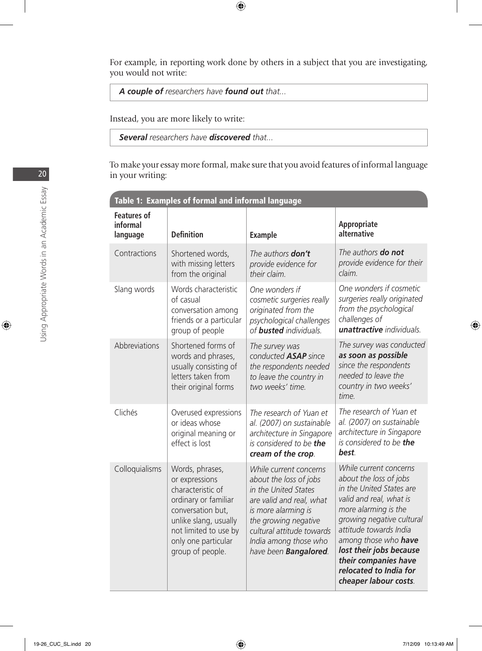For example, in reporting work done by others in a subject that you are investigating, you would not write:

 *A couple of researchers have found out that...*

Instead, you are more likely to write:

 *Several researchers have discovered that...*

 To make your essay more formal, make sure that you avoid features of informal language in your writing:

| Table 1: Examples of formal and informal language |                                                                                                                                                                                                  |                                                                                                                                                                                                                                            |                                                                                                                                                                                                                                                                                                                      |
|---------------------------------------------------|--------------------------------------------------------------------------------------------------------------------------------------------------------------------------------------------------|--------------------------------------------------------------------------------------------------------------------------------------------------------------------------------------------------------------------------------------------|----------------------------------------------------------------------------------------------------------------------------------------------------------------------------------------------------------------------------------------------------------------------------------------------------------------------|
| <b>Features of</b><br>informal<br>language        | <b>Definition</b>                                                                                                                                                                                | <b>Example</b>                                                                                                                                                                                                                             | Appropriate<br>alternative                                                                                                                                                                                                                                                                                           |
| Contractions                                      | Shortened words,<br>with missing letters<br>from the original                                                                                                                                    | The authors don't<br>provide evidence for<br>their claim.                                                                                                                                                                                  | The authors <b>do not</b><br>provide evidence for their<br>claim.                                                                                                                                                                                                                                                    |
| Slang words                                       | Words characteristic<br>of casual<br>conversation among<br>friends or a particular<br>group of people                                                                                            | One wonders if<br>cosmetic surgeries really<br>originated from the<br>psychological challenges<br>of <b>busted</b> individuals.                                                                                                            | One wonders if cosmetic<br>surgeries really originated<br>from the psychological<br>challenges of<br>unattractive individuals.                                                                                                                                                                                       |
| Abbreviations                                     | Shortened forms of<br>words and phrases,<br>usually consisting of<br>letters taken from<br>their original forms                                                                                  | The survey was<br>conducted <b>ASAP</b> since<br>the respondents needed<br>to leave the country in<br>two weeks' time.                                                                                                                     | The survey was conducted<br>as soon as possible<br>since the respondents<br>needed to leave the<br>country in two weeks'<br>time.                                                                                                                                                                                    |
| Clichés                                           | Overused expressions<br>or ideas whose<br>original meaning or<br>effect is lost                                                                                                                  | The research of Yuan et<br>al. (2007) on sustainable<br>architecture in Singapore<br>is considered to be the<br>cream of the crop.                                                                                                         | The research of Yuan et<br>al. (2007) on sustainable<br>architecture in Singapore<br>is considered to be the<br>best.                                                                                                                                                                                                |
| Colloquialisms                                    | Words, phrases,<br>or expressions<br>characteristic of<br>ordinary or familiar<br>conversation but,<br>unlike slang, usually<br>not limited to use by<br>only one particular<br>group of people. | While current concerns<br>about the loss of jobs<br>in the United States<br>are valid and real, what<br>is more alarming is<br>the growing negative<br>cultural attitude towards<br>India among those who<br>have been <b>Bangalored</b> . | While current concerns<br>about the loss of jobs<br>in the United States are<br>valid and real, what is<br>more alarming is the<br>growing negative cultural<br>attitude towards India<br>among those who have<br>lost their jobs because<br>their companies have<br>relocated to India for<br>cheaper labour costs. |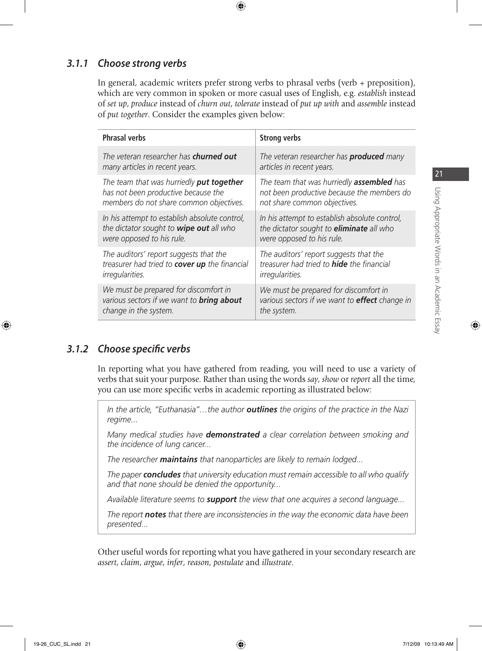#### *3.1.1 Choose strong verbs*

 In general, academic writers prefer strong verbs to phrasal verbs (verb + preposition), which are very common in spoken or more casual uses of English, e.g. *establish* instead of *set up*, *produce* instead of *churn out*, *tolerate* instead of *put up with* and *assemble* instead of *put together*. Consider the examples given below:

| <b>Phrasal verbs</b>                             | <b>Strong verbs</b>                                   |
|--------------------------------------------------|-------------------------------------------------------|
| The veteran researcher has <b>churned out</b>    | The veteran researcher has <b>produced</b> many       |
| many articles in recent years.                   | articles in recent years.                             |
| The team that was hurriedly put together         | The team that was hurriedly <b>assembled</b> has      |
| has not been productive because the              | not been productive because the members do            |
| members do not share common objectives.          | not share common objectives.                          |
| In his attempt to establish absolute control,    | In his attempt to establish absolute control,         |
| the dictator sought to wipe out all who          | the dictator sought to <i>eliminate</i> all who       |
| were opposed to his rule.                        | were opposed to his rule.                             |
| The auditors' report suggests that the           | The auditors' report suggests that the                |
| treasurer had tried to cover up the financial    | treasurer had tried to <b>hide</b> the financial      |
| irregularities.                                  | <i>irregularities.</i>                                |
| We must be prepared for discomfort in            | We must be prepared for discomfort in                 |
| various sectors if we want to <b>bring about</b> | various sectors if we want to <b>effect</b> change in |
| change in the system.                            | the system.                                           |

#### 3.1.2 Choose specific verbs

 In reporting what you have gathered from reading, you will need to use a variety of verbs that suit your purpose. Rather than using the words *say*, *show* or *report* all the time, you can use more specific verbs in academic reporting as illustrated below:

 *In the article, "Euthanasia"…the author outlines the origins of the practice in the Nazi regime...*

 *Many medical studies have demonstrated a clear correlation between smoking and the incidence of lung cancer...*

 *The researcher maintains that nanoparticles are likely to remain lodged...*

 *The paper concludes that university education must remain accessible to all who qualify and that none should be denied the opportunity...*

 *Available literature seems to support the view that one acquires a second language...*

 *The report notes that there are inconsistencies in the way the economic data have been presented...*

 Other useful words for reporting what you have gathered in your secondary research are *assert*, *claim*, *argue*, *infer*, *reason*, *postulate* and *illustrate*.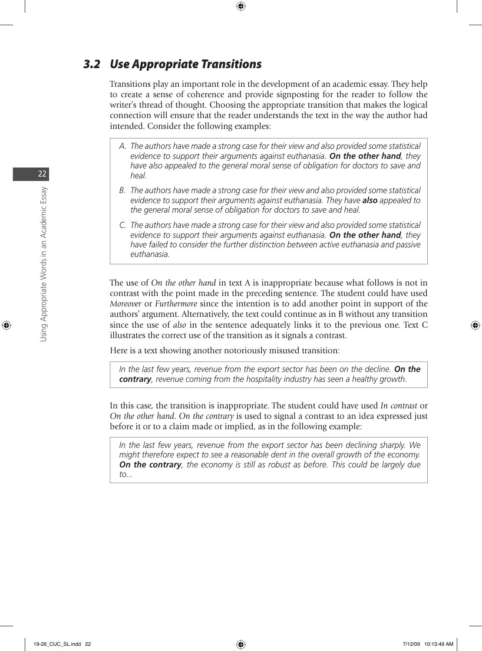#### *3.2 Use Appropriate Transitions*

 Transitions play an important role in the development of an academic essay. They help to create a sense of coherence and provide signposting for the reader to follow the writer's thread of thought. Choosing the appropriate transition that makes the logical connection will ensure that the reader understands the text in the way the author had intended. Consider the following examples:

- *A. The authors have made a strong case for their view and also provided some statistical evidence to support their arguments against euthanasia. On the other hand, they have also appealed to the general moral sense of obligation for doctors to save and heal.*
- *B. The authors have made a strong case for their view and also provided some statistical evidence to support their arguments against euthanasia. They have also appealed to the general moral sense of obligation for doctors to save and heal.*
- *C. The authors have made a strong case for their view and also provided some statistical evidence to support their arguments against euthanasia. On the other hand, they have failed to consider the further distinction between active euthanasia and passive euthanasia.*

 The use of *On the other hand* in text A is inappropriate because what follows is not in contrast with the point made in the preceding sentence. The student could have used *Moreover* or *Furthermore* since the intention is to add another point in support of the authors' argument. Alternatively, the text could continue as in B without any transition since the use of *also* in the sentence adequately links it to the previous one. Text C illustrates the correct use of the transition as it signals a contrast.

Here is a text showing another notoriously misused transition:

 *In the last few years, revenue from the export sector has been on the decline. On the contrary, revenue coming from the hospitality industry has seen a healthy growth.*

 In this case, the transition is inappropriate. The student could have used *In contrast* or *On the other hand*. *On the contrary* is used to signal a contrast to an idea expressed just before it or to a claim made or implied, as in the following example:

 *In the last few years, revenue from the export sector has been declining sharply. We might therefore expect to see a reasonable dent in the overall growth of the economy. On the contrary, the economy is still as robust as before. This could be largely due to...*

22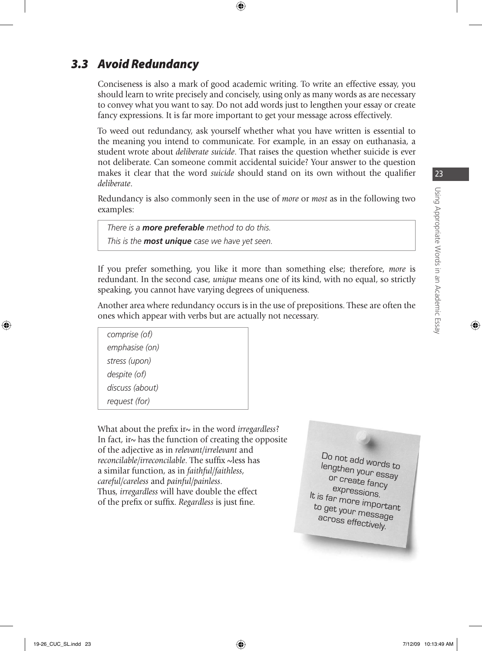## *3.3 Avoid Redundancy*

 Conciseness is also a mark of good academic writing. To write an effective essay, you should learn to write precisely and concisely, using only as many words as are necessary to convey what you want to say. Do not add words just to lengthen your essay or create fancy expressions. It is far more important to get your message across effectively.

 To weed out redundancy, ask yourself whether what you have written is essential to the meaning you intend to communicate. For example, in an essay on euthanasia, a student wrote about *deliberate suicide*. That raises the question whether suicide is ever not deliberate. Can someone commit accidental suicide? Your answer to the question makes it clear that the word *suicide* should stand on its own without the qualifier *deliberate*.

 Redundancy is also commonly seen in the use of *more* or *most* as in the following two examples:

 *There is a more preferable method to do this. This is the most unique case we have yet seen.*

 If you prefer something, you like it more than something else; therefore, *more* is redundant. In the second case, *unique* means one of its kind, with no equal, so strictly speaking, you cannot have varying degrees of uniqueness.

 Another area where redundancy occurs is in the use of prepositions. These are often the ones which appear with verbs but are actually not necessary.

| comprise (of)   |
|-----------------|
| emphasise (on)  |
| stress (upon)   |
| despite (of)    |
| discuss (about) |
| request (for)   |
|                 |

What about the prefix ir~ in the word *irregardless*? In fact, in has the function of creating the opposite of the adjective as in *relevant/irrelevant* and *reconcilable/irreconcilable*. The suffix ~less has a similar function, as in *faithful/faithless*, *careful/careless* and *painful/painless*. Thus, *irregardless* will have double the effect of the prefix or suffix. *Regardless* is just fine.

Do not add words to lengthen your essay or create fancy expressions. It is far more important to get your message across effectively.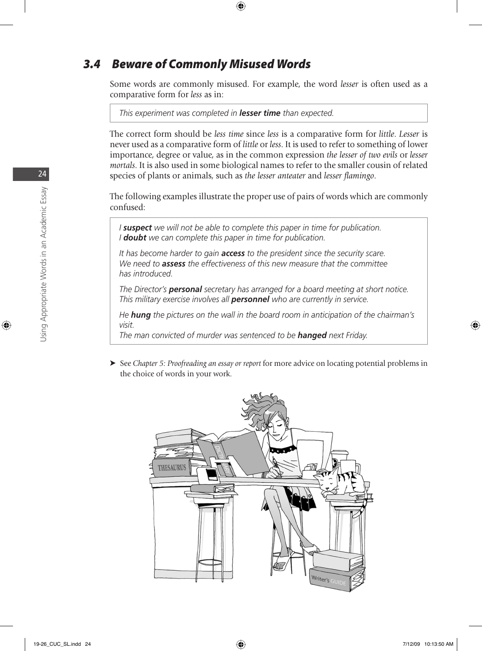#### *3.4 Beware of Commonly Misused Words*

 Some words are commonly misused. For example, the word *lesser* is often used as a comparative form for *less* as in:

 *This experiment was completed in lesser time than expected.*

 The correct form should be *less time* since *less* is a comparative form for *little*. *Lesser* is never used as a comparative form of *little* or *less*. It is used to refer to something of lower importance, degree or value, as in the common expression *the lesser of two evils* or *lesser mortals*. It is also used in some biological names to refer to the smaller cousin of related species of plants or animals, such as *the lesser anteater* and *lesser flamingo*.

 The following examples illustrate the proper use of pairs of words which are commonly confused:

 *I suspect we will not be able to complete this paper in time for publication. I doubt we can complete this paper in time for publication.*

 *It has become harder to gain access to the president since the security scare. We need to assess the effectiveness of this new measure that the committee has introduced.*

 *The Director's personal secretary has arranged for a board meeting at short notice. This military exercise involves all personnel who are currently in service.*

 *He hung the pictures on the wall in the board room in anticipation of the chairman's visit.*

 *The man convicted of murder was sentenced to be hanged next Friday.*

 ➤ See *Chapter 5: Proofreading an essay or report* for more advice on locating potential problems in the choice of words in your work.



24